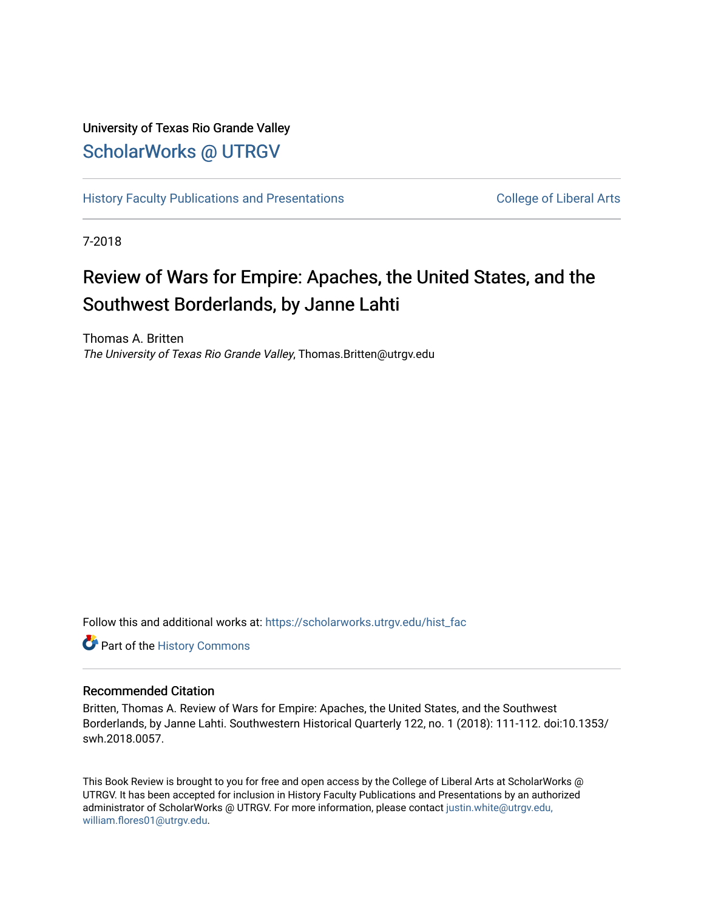## University of Texas Rio Grande Valley [ScholarWorks @ UTRGV](https://scholarworks.utrgv.edu/)

[History Faculty Publications and Presentations](https://scholarworks.utrgv.edu/hist_fac) **COLLEGE 12 College of Liberal Arts** 

7-2018

## Review of Wars for Empire: Apaches, the United States, and the Southwest Borderlands, by Janne Lahti

Thomas A. Britten The University of Texas Rio Grande Valley, Thomas.Britten@utrgv.edu

Follow this and additional works at: [https://scholarworks.utrgv.edu/hist\\_fac](https://scholarworks.utrgv.edu/hist_fac?utm_source=scholarworks.utrgv.edu%2Fhist_fac%2F9&utm_medium=PDF&utm_campaign=PDFCoverPages) 

Part of the [History Commons](http://network.bepress.com/hgg/discipline/489?utm_source=scholarworks.utrgv.edu%2Fhist_fac%2F9&utm_medium=PDF&utm_campaign=PDFCoverPages) 

## Recommended Citation

Britten, Thomas A. Review of Wars for Empire: Apaches, the United States, and the Southwest Borderlands, by Janne Lahti. Southwestern Historical Quarterly 122, no. 1 (2018): 111-112. doi:10.1353/ swh.2018.0057.

This Book Review is brought to you for free and open access by the College of Liberal Arts at ScholarWorks @ UTRGV. It has been accepted for inclusion in History Faculty Publications and Presentations by an authorized administrator of ScholarWorks @ UTRGV. For more information, please contact [justin.white@utrgv.edu,](mailto:justin.white@utrgv.edu,%20william.flores01@utrgv.edu)  [william.flores01@utrgv.edu](mailto:justin.white@utrgv.edu,%20william.flores01@utrgv.edu).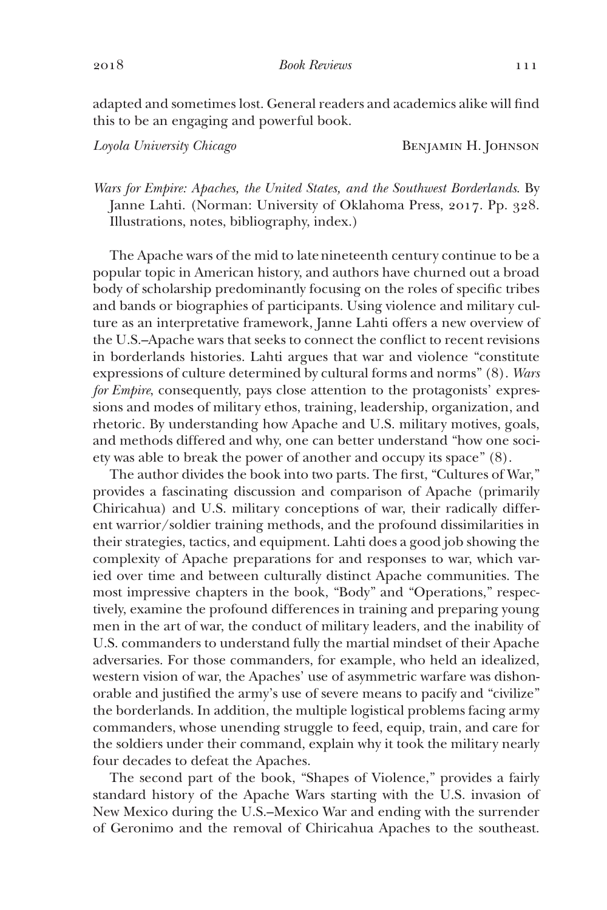adapted and sometimes lost. General readers and academics alike will find this to be an engaging and powerful book.

*Loyola University Chicago* Benjamin H. Johnson

*Wars for Empire: Apaches, the United States, and the Southwest Borderlands*. By Janne Lahti. (Norman: University of Oklahoma Press, 2017. Pp. 328. Illustrations, notes, bibliography, index.)

The Apache wars of the mid to latenineteenth century continue to be a popular topic in American history, and authors have churned out a broad body of scholarship predominantly focusing on the roles of specific tribes and bands or biographies of participants. Using violence and military culture as an interpretative framework, Janne Lahti offers a new overview of the U.S.–Apache wars that seeks to connect the conflict to recent revisions in borderlands histories. Lahti argues that war and violence "constitute expressions of culture determined by cultural forms and norms" (8). *Wars for Empire*, consequently, pays close attention to the protagonists' expressions and modes of military ethos, training, leadership, organization, and rhetoric. By understanding how Apache and U.S. military motives, goals, and methods differed and why, one can better understand "how one society was able to break the power of another and occupy its space" (8).

The author divides the book into two parts. The first, "Cultures of War," provides a fascinating discussion and comparison of Apache (primarily Chiricahua) and U.S. military conceptions of war, their radically different warrior/soldier training methods, and the profound dissimilarities in their strategies, tactics, and equipment. Lahti does a good job showing the complexity of Apache preparations for and responses to war, which varied over time and between culturally distinct Apache communities. The most impressive chapters in the book, "Body" and "Operations," respectively, examine the profound differences in training and preparing young men in the art of war, the conduct of military leaders, and the inability of U.S. commanders to understand fully the martial mindset of their Apache adversaries. For those commanders, for example, who held an idealized, western vision of war, the Apaches' use of asymmetric warfare was dishonorable and justified the army's use of severe means to pacify and "civilize" the borderlands. In addition, the multiple logistical problems facing army commanders, whose unending struggle to feed, equip, train, and care for the soldiers under their command, explain why it took the military nearly four decades to defeat the Apaches.

The second part of the book, "Shapes of Violence," provides a fairly standard history of the Apache Wars starting with the U.S. invasion of New Mexico during the U.S.–Mexico War and ending with the surrender of Geronimo and the removal of Chiricahua Apaches to the southeast.